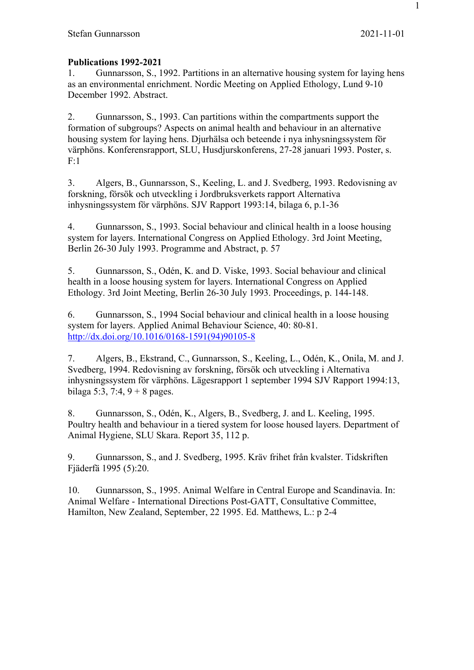## **Publications 1992-2021**

1. Gunnarsson, S., 1992. Partitions in an alternative housing system for laying hens as an environmental enrichment. Nordic Meeting on Applied Ethology, Lund 9-10 December 1992. Abstract.

2. Gunnarsson, S., 1993. Can partitions within the compartments support the formation of subgroups? Aspects on animal health and behaviour in an alternative housing system for laying hens. Djurhälsa och beteende i nya inhysningssystem för värphöns. Konferensrapport, SLU, Husdjurskonferens, 27-28 januari 1993. Poster, s. F:1

3. Algers, B., Gunnarsson, S., Keeling, L. and J. Svedberg, 1993. Redovisning av forskning, försök och utveckling i Jordbruksverkets rapport Alternativa inhysningssystem för värphöns. SJV Rapport 1993:14, bilaga 6, p.1-36

4. Gunnarsson, S., 1993. Social behaviour and clinical health in a loose housing system for layers. International Congress on Applied Ethology. 3rd Joint Meeting, Berlin 26-30 July 1993. Programme and Abstract, p. 57

5. Gunnarsson, S., Odén, K. and D. Viske, 1993. Social behaviour and clinical health in a loose housing system for layers. International Congress on Applied Ethology. 3rd Joint Meeting, Berlin 26-30 July 1993. Proceedings, p. 144-148.

6. Gunnarsson, S., 1994 Social behaviour and clinical health in a loose housing system for layers. Applied Animal Behaviour Science, 40: 80-81. http://dx.doi.org/10.1016/0168-1591(94)90105-8

7. Algers, B., Ekstrand, C., Gunnarsson, S., Keeling, L., Odén, K., Onila, M. and J. Svedberg, 1994. Redovisning av forskning, försök och utveckling i Alternativa inhysningssystem för värphöns. Lägesrapport 1 september 1994 SJV Rapport 1994:13, bilaga 5:3, 7:4,  $9 + 8$  pages.

8. Gunnarsson, S., Odén, K., Algers, B., Svedberg, J. and L. Keeling, 1995. Poultry health and behaviour in a tiered system for loose housed layers. Department of Animal Hygiene, SLU Skara. Report 35, 112 p.

9. Gunnarsson, S., and J. Svedberg, 1995. Kräv frihet från kvalster. Tidskriften Fjäderfä 1995 (5):20.

10. Gunnarsson, S., 1995. Animal Welfare in Central Europe and Scandinavia. In: Animal Welfare - International Directions Post-GATT, Consultative Committee, Hamilton, New Zealand, September, 22 1995. Ed. Matthews, L.: p 2-4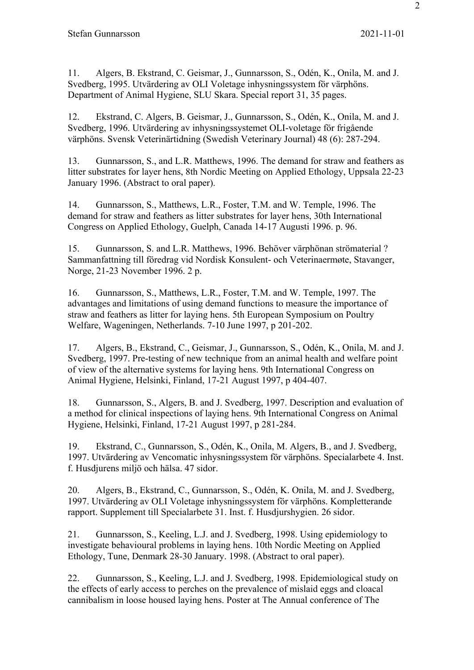11. Algers, B. Ekstrand, C. Geismar, J., Gunnarsson, S., Odén, K., Onila, M. and J. Svedberg, 1995. Utvärdering av OLI Voletage inhysningssystem för värphöns. Department of Animal Hygiene, SLU Skara. Special report 31, 35 pages.

12. Ekstrand, C. Algers, B. Geismar, J., Gunnarsson, S., Odén, K., Onila, M. and J. Svedberg, 1996. Utvärdering av inhysningssystemet OLI-voletage för frigående värphöns. Svensk Veterinärtidning (Swedish Veterinary Journal) 48 (6): 287-294.

13. Gunnarsson, S., and L.R. Matthews, 1996. The demand for straw and feathers as litter substrates for layer hens, 8th Nordic Meeting on Applied Ethology, Uppsala 22-23 January 1996. (Abstract to oral paper).

14. Gunnarsson, S., Matthews, L.R., Foster, T.M. and W. Temple, 1996. The demand for straw and feathers as litter substrates for layer hens, 30th International Congress on Applied Ethology, Guelph, Canada 14-17 Augusti 1996. p. 96.

15. Gunnarsson, S. and L.R. Matthews, 1996. Behöver värphönan strömaterial ? Sammanfattning till föredrag vid Nordisk Konsulent- och Veterinaermøte, Stavanger, Norge, 21-23 November 1996. 2 p.

16. Gunnarsson, S., Matthews, L.R., Foster, T.M. and W. Temple, 1997. The advantages and limitations of using demand functions to measure the importance of straw and feathers as litter for laying hens. 5th European Symposium on Poultry Welfare, Wageningen, Netherlands. 7-10 June 1997, p 201-202.

17. Algers, B., Ekstrand, C., Geismar, J., Gunnarsson, S., Odén, K., Onila, M. and J. Svedberg, 1997. Pre-testing of new technique from an animal health and welfare point of view of the alternative systems for laying hens. 9th International Congress on Animal Hygiene, Helsinki, Finland, 17-21 August 1997, p 404-407.

18. Gunnarsson, S., Algers, B. and J. Svedberg, 1997. Description and evaluation of a method for clinical inspections of laying hens. 9th International Congress on Animal Hygiene, Helsinki, Finland, 17-21 August 1997, p 281-284.

19. Ekstrand, C., Gunnarsson, S., Odén, K., Onila, M. Algers, B., and J. Svedberg, 1997. Utvärdering av Vencomatic inhysningssystem för värphöns. Specialarbete 4. Inst. f. Husdjurens miljö och hälsa. 47 sidor.

20. Algers, B., Ekstrand, C., Gunnarsson, S., Odén, K. Onila, M. and J. Svedberg, 1997. Utvärdering av OLI Voletage inhysningssystem för värphöns. Kompletterande rapport. Supplement till Specialarbete 31. Inst. f. Husdjurshygien. 26 sidor.

21. Gunnarsson, S., Keeling, L.J. and J. Svedberg, 1998. Using epidemiology to investigate behavioural problems in laying hens. 10th Nordic Meeting on Applied Ethology, Tune, Denmark 28-30 January. 1998. (Abstract to oral paper).

22. Gunnarsson, S., Keeling, L.J. and J. Svedberg, 1998. Epidemiological study on the effects of early access to perches on the prevalence of mislaid eggs and cloacal cannibalism in loose housed laying hens. Poster at The Annual conference of The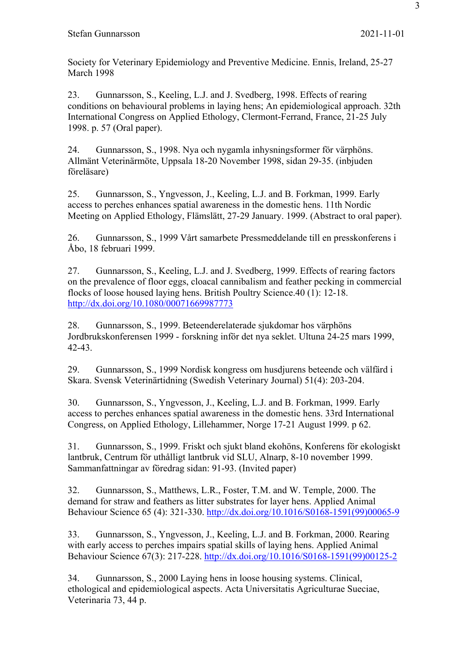Society for Veterinary Epidemiology and Preventive Medicine. Ennis, Ireland, 25-27 March 1998

23. Gunnarsson, S., Keeling, L.J. and J. Svedberg, 1998. Effects of rearing conditions on behavioural problems in laying hens; An epidemiological approach. 32th International Congress on Applied Ethology, Clermont-Ferrand, France, 21-25 July 1998. p. 57 (Oral paper).

24. Gunnarsson, S., 1998. Nya och nygamla inhysningsformer för värphöns. Allmänt Veterinärmöte, Uppsala 18-20 November 1998, sidan 29-35. (inbjuden föreläsare)

25. Gunnarsson, S., Yngvesson, J., Keeling, L.J. and B. Forkman, 1999. Early access to perches enhances spatial awareness in the domestic hens. 11th Nordic Meeting on Applied Ethology, Flämslätt, 27-29 January. 1999. (Abstract to oral paper).

26. Gunnarsson, S., 1999 Vårt samarbete Pressmeddelande till en presskonferens i Åbo, 18 februari 1999.

27. Gunnarsson, S., Keeling, L.J. and J. Svedberg, 1999. Effects of rearing factors on the prevalence of floor eggs, cloacal cannibalism and feather pecking in commercial flocks of loose housed laying hens. British Poultry Science.40 (1): 12-18. http://dx.doi.org/10.1080/00071669987773

28. Gunnarsson, S., 1999. Beteenderelaterade sjukdomar hos värphöns Jordbrukskonferensen 1999 - forskning inför det nya seklet. Ultuna 24-25 mars 1999, 42-43.

29. Gunnarsson, S., 1999 Nordisk kongress om husdjurens beteende och välfärd i Skara. Svensk Veterinärtidning (Swedish Veterinary Journal) 51(4): 203-204.

30. Gunnarsson, S., Yngvesson, J., Keeling, L.J. and B. Forkman, 1999. Early access to perches enhances spatial awareness in the domestic hens. 33rd International Congress, on Applied Ethology, Lillehammer, Norge 17-21 August 1999. p 62.

31. Gunnarsson, S., 1999. Friskt och sjukt bland ekohöns, Konferens för ekologiskt lantbruk, Centrum för uthålligt lantbruk vid SLU, Alnarp, 8-10 november 1999. Sammanfattningar av föredrag sidan: 91-93. (Invited paper)

32. Gunnarsson, S., Matthews, L.R., Foster, T.M. and W. Temple, 2000. The demand for straw and feathers as litter substrates for layer hens. Applied Animal Behaviour Science 65 (4): 321-330. http://dx.doi.org/10.1016/S0168-1591(99)00065-9

33. Gunnarsson, S., Yngvesson, J., Keeling, L.J. and B. Forkman, 2000. Rearing with early access to perches impairs spatial skills of laying hens. Applied Animal Behaviour Science 67(3): 217-228. http://dx.doi.org/10.1016/S0168-1591(99)00125-2

34. Gunnarsson, S., 2000 Laying hens in loose housing systems. Clinical, ethological and epidemiological aspects. Acta Universitatis Agriculturae Sueciae, Veterinaria 73, 44 p.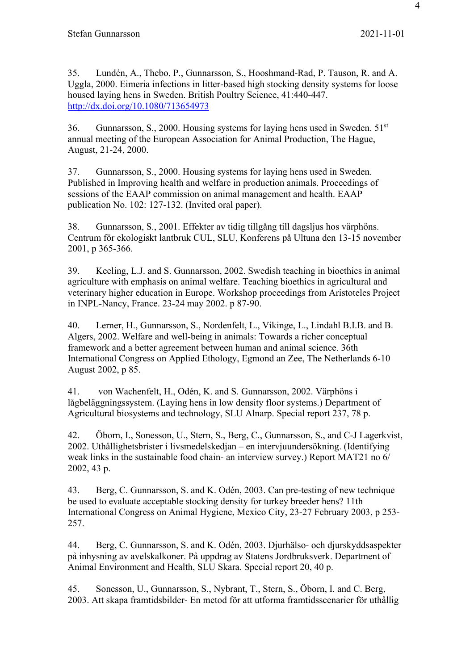35. Lundén, A., Thebo, P., Gunnarsson, S., Hooshmand-Rad, P. Tauson, R. and A. Uggla, 2000. Eimeria infections in litter-based high stocking density systems for loose housed laying hens in Sweden. British Poultry Science, 41:440-447. http://dx.doi.org/10.1080/713654973

36. Gunnarsson, S., 2000. Housing systems for laying hens used in Sweden.  $51<sup>st</sup>$ annual meeting of the European Association for Animal Production, The Hague, August, 21-24, 2000.

37. Gunnarsson, S., 2000. Housing systems for laying hens used in Sweden. Published in Improving health and welfare in production animals. Proceedings of sessions of the EAAP commission on animal management and health. EAAP publication No. 102: 127-132. (Invited oral paper).

38. Gunnarsson, S., 2001. Effekter av tidig tillgång till dagsljus hos värphöns. Centrum för ekologiskt lantbruk CUL, SLU, Konferens på Ultuna den 13-15 november 2001, p 365-366.

39. Keeling, L.J. and S. Gunnarsson, 2002. Swedish teaching in bioethics in animal agriculture with emphasis on animal welfare. Teaching bioethics in agricultural and veterinary higher education in Europe. Workshop proceedings from Aristoteles Project in INPL-Nancy, France. 23-24 may 2002. p 87-90.

40. Lerner, H., Gunnarsson, S., Nordenfelt, L., Vikinge, L., Lindahl B.I.B. and B. Algers, 2002. Welfare and well-being in animals: Towards a richer conceptual framework and a better agreement between human and animal science. 36th International Congress on Applied Ethology, Egmond an Zee, The Netherlands 6-10 August 2002, p 85.

41. von Wachenfelt, H., Odén, K. and S. Gunnarsson, 2002. Värphöns i lågbeläggningssystem. (Laying hens in low density floor systems.) Department of Agricultural biosystems and technology, SLU Alnarp. Special report 237, 78 p.

42. Öborn, I., Sonesson, U., Stern, S., Berg, C., Gunnarsson, S., and C-J Lagerkvist, 2002. Uthållighetsbrister i livsmedelskedjan – en intervjuundersökning. (Identifying weak links in the sustainable food chain- an interview survey.) Report MAT21 no 6/ 2002, 43 p.

43. Berg, C. Gunnarsson, S. and K. Odén, 2003. Can pre-testing of new technique be used to evaluate acceptable stocking density for turkey breeder hens? 11th International Congress on Animal Hygiene, Mexico City, 23-27 February 2003, p 253- 257.

44. Berg, C. Gunnarsson, S. and K. Odén, 2003. Djurhälso- och djurskyddsaspekter på inhysning av avelskalkoner. På uppdrag av Statens Jordbruksverk. Department of Animal Environment and Health, SLU Skara. Special report 20, 40 p.

45. Sonesson, U., Gunnarsson, S., Nybrant, T., Stern, S., Öborn, I. and C. Berg, 2003. Att skapa framtidsbilder- En metod för att utforma framtidsscenarier för uthållig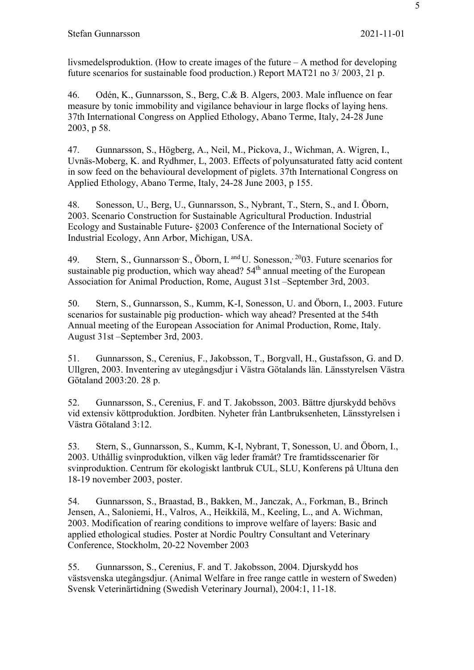livsmedelsproduktion. (How to create images of the future – A method for developing future scenarios for sustainable food production.) Report MAT21 no 3/ 2003, 21 p.

46. Odén, K., Gunnarsson, S., Berg, C.& B. Algers, 2003. Male influence on fear measure by tonic immobility and vigilance behaviour in large flocks of laying hens. 37th International Congress on Applied Ethology, Abano Terme, Italy, 24-28 June 2003, p 58.

47. Gunnarsson, S., Högberg, A., Neil, M., Pickova, J., Wichman, A. Wigren, I., Uvnäs-Moberg, K. and Rydhmer, L, 2003. Effects of polyunsaturated fatty acid content in sow feed on the behavioural development of piglets. 37th International Congress on Applied Ethology, Abano Terme, Italy, 24-28 June 2003, p 155.

48. Sonesson, U., Berg, U., Gunnarsson, S., Nybrant, T., Stern, S., and I. Öborn, 2003. Scenario Construction for Sustainable Agricultural Production. Industrial Ecology and Sustainable Future- §2003 Conference of the International Society of Industrial Ecology, Ann Arbor, Michigan, USA.

49. Stern, S., Gunnarsson<sup>,</sup> S., Öborn, I. and U. Sonesson,<sup>20</sup>03. Future scenarios for sustainable pig production, which way ahead? 54<sup>th</sup> annual meeting of the European Association for Animal Production, Rome, August 31st –September 3rd, 2003.

50. Stern, S., Gunnarsson, S., Kumm, K-I, Sonesson, U. and Öborn, I., 2003. Future scenarios for sustainable pig production- which way ahead? Presented at the 54th Annual meeting of the European Association for Animal Production, Rome, Italy. August 31st –September 3rd, 2003.

51. Gunnarsson, S., Cerenius, F., Jakobsson, T., Borgvall, H., Gustafsson, G. and D. Ullgren, 2003. Inventering av utegångsdjur i Västra Götalands län. Länsstyrelsen Västra Götaland 2003:20. 28 p.

52. Gunnarsson, S., Cerenius, F. and T. Jakobsson, 2003. Bättre djurskydd behövs vid extensiv köttproduktion. Jordbiten. Nyheter från Lantbruksenheten, Länsstyrelsen i Västra Götaland 3:12.

53. Stern, S., Gunnarsson, S., Kumm, K-I, Nybrant, T, Sonesson, U. and Öborn, I., 2003. Uthållig svinproduktion, vilken väg leder framåt? Tre framtidsscenarier för svinproduktion. Centrum för ekologiskt lantbruk CUL, SLU, Konferens på Ultuna den 18-19 november 2003, poster.

54. Gunnarsson, S., Braastad, B., Bakken, M., Janczak, A., Forkman, B., Brinch Jensen, A., Saloniemi, H., Valros, A., Heikkilä, M., Keeling, L., and A. Wichman, 2003. Modification of rearing conditions to improve welfare of layers: Basic and applied ethological studies. Poster at Nordic Poultry Consultant and Veterinary Conference, Stockholm, 20-22 November 2003

55. Gunnarsson, S., Cerenius, F. and T. Jakobsson, 2004. Djurskydd hos västsvenska utegångsdjur. (Animal Welfare in free range cattle in western of Sweden) Svensk Veterinärtidning (Swedish Veterinary Journal), 2004:1, 11-18.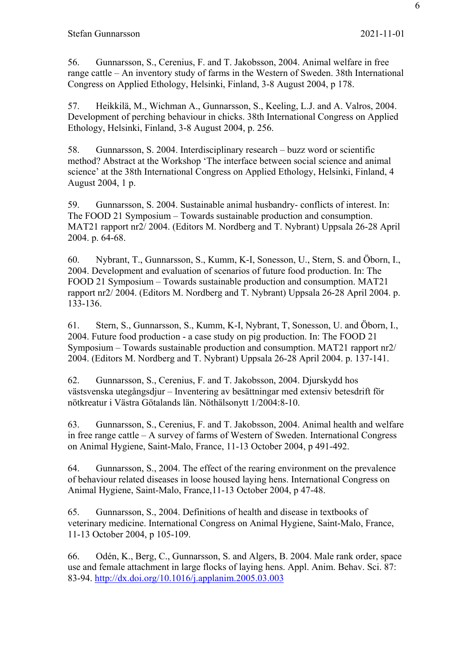56. Gunnarsson, S., Cerenius, F. and T. Jakobsson, 2004. Animal welfare in free range cattle – An inventory study of farms in the Western of Sweden. 38th International Congress on Applied Ethology, Helsinki, Finland, 3-8 August 2004, p 178.

57. Heikkilä, M., Wichman A., Gunnarsson, S., Keeling, L.J. and A. Valros, 2004. Development of perching behaviour in chicks. 38th International Congress on Applied Ethology, Helsinki, Finland, 3-8 August 2004, p. 256.

58. Gunnarsson, S. 2004. Interdisciplinary research – buzz word or scientific method? Abstract at the Workshop 'The interface between social science and animal science' at the 38th International Congress on Applied Ethology, Helsinki, Finland, 4 August 2004, 1 p.

59. Gunnarsson, S. 2004. Sustainable animal husbandry- conflicts of interest. In: The FOOD 21 Symposium – Towards sustainable production and consumption. MAT21 rapport nr2/ 2004. (Editors M. Nordberg and T. Nybrant) Uppsala 26-28 April 2004. p. 64-68.

60. Nybrant, T., Gunnarsson, S., Kumm, K-I, Sonesson, U., Stern, S. and Öborn, I., 2004. Development and evaluation of scenarios of future food production. In: The FOOD 21 Symposium – Towards sustainable production and consumption. MAT21 rapport nr2/ 2004. (Editors M. Nordberg and T. Nybrant) Uppsala 26-28 April 2004. p. 133-136.

61. Stern, S., Gunnarsson, S., Kumm, K-I, Nybrant, T, Sonesson, U. and Öborn, I., 2004. Future food production - a case study on pig production. In: The FOOD 21 Symposium – Towards sustainable production and consumption. MAT21 rapport nr2/ 2004. (Editors M. Nordberg and T. Nybrant) Uppsala 26-28 April 2004. p. 137-141.

62. Gunnarsson, S., Cerenius, F. and T. Jakobsson, 2004. Djurskydd hos västsvenska utegångsdjur – Inventering av besättningar med extensiv betesdrift för nötkreatur i Västra Götalands län. Nöthälsonytt 1/2004:8-10.

63. Gunnarsson, S., Cerenius, F. and T. Jakobsson, 2004. Animal health and welfare in free range cattle – A survey of farms of Western of Sweden. International Congress on Animal Hygiene, Saint-Malo, France, 11-13 October 2004, p 491-492.

64. Gunnarsson, S., 2004. The effect of the rearing environment on the prevalence of behaviour related diseases in loose housed laying hens. International Congress on Animal Hygiene, Saint-Malo, France,11-13 October 2004, p 47-48.

65. Gunnarsson, S., 2004. Definitions of health and disease in textbooks of veterinary medicine. International Congress on Animal Hygiene, Saint-Malo, France, 11-13 October 2004, p 105-109.

66. Odén, K., Berg, C., Gunnarsson, S. and Algers, B. 2004. Male rank order, space use and female attachment in large flocks of laying hens. Appl. Anim. Behav. Sci. 87: 83-94. http://dx.doi.org/10.1016/j.applanim.2005.03.003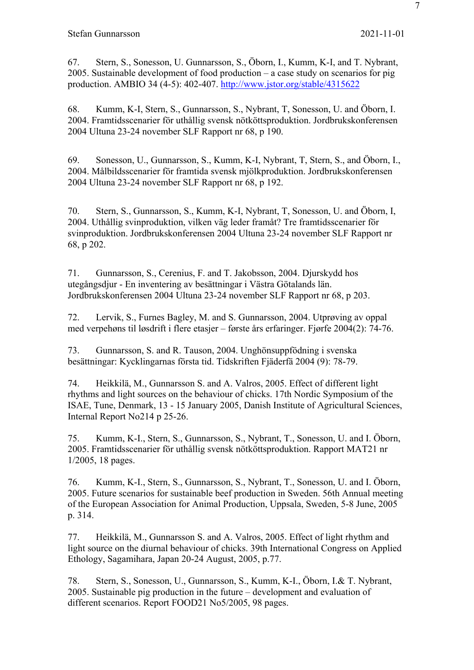67. Stern, S., Sonesson, U. Gunnarsson, S., Öborn, I., Kumm, K-I, and T. Nybrant, 2005. Sustainable development of food production – a case study on scenarios for pig production. AMBIO 34 (4-5): 402-407. http://www.jstor.org/stable/4315622

68. Kumm, K-I, Stern, S., Gunnarsson, S., Nybrant, T, Sonesson, U. and Öborn, I. 2004. Framtidsscenarier för uthållig svensk nötköttsproduktion. Jordbrukskonferensen 2004 Ultuna 23-24 november SLF Rapport nr 68, p 190.

69. Sonesson, U., Gunnarsson, S., Kumm, K-I, Nybrant, T, Stern, S., and Öborn, I., 2004. Målbildsscenarier för framtida svensk mjölkproduktion. Jordbrukskonferensen 2004 Ultuna 23-24 november SLF Rapport nr 68, p 192.

70. Stern, S., Gunnarsson, S., Kumm, K-I, Nybrant, T, Sonesson, U. and Öborn, I, 2004. Uthållig svinproduktion, vilken väg leder framåt? Tre framtidsscenarier för svinproduktion. Jordbrukskonferensen 2004 Ultuna 23-24 november SLF Rapport nr 68, p 202.

71. Gunnarsson, S., Cerenius, F. and T. Jakobsson, 2004. Djurskydd hos utegångsdjur - En inventering av besättningar i Västra Götalands län. Jordbrukskonferensen 2004 Ultuna 23-24 november SLF Rapport nr 68, p 203.

72. Lervik, S., Furnes Bagley, M. and S. Gunnarsson, 2004. Utprøving av oppal med verpehøns til løsdrift i flere etasjer – første års erfaringer. Fjørfe 2004(2): 74-76.

73. Gunnarsson, S. and R. Tauson, 2004. Unghönsuppfödning i svenska besättningar: Kycklingarnas första tid. Tidskriften Fjäderfä 2004 (9): 78-79.

74. Heikkilä, M., Gunnarsson S. and A. Valros, 2005. Effect of different light rhythms and light sources on the behaviour of chicks. 17th Nordic Symposium of the ISAE, Tune, Denmark, 13 - 15 January 2005, Danish Institute of Agricultural Sciences, Internal Report No214 p 25-26.

75. Kumm, K-I., Stern, S., Gunnarsson, S., Nybrant, T., Sonesson, U. and I. Öborn, 2005. Framtidsscenarier för uthållig svensk nötköttsproduktion. Rapport MAT21 nr 1/2005, 18 pages.

76. Kumm, K-I., Stern, S., Gunnarsson, S., Nybrant, T., Sonesson, U. and I. Öborn, 2005. Future scenarios for sustainable beef production in Sweden. 56th Annual meeting of the European Association for Animal Production, Uppsala, Sweden, 5-8 June, 2005 p. 314.

77. Heikkilä, M., Gunnarsson S. and A. Valros, 2005. Effect of light rhythm and light source on the diurnal behaviour of chicks. 39th International Congress on Applied Ethology, Sagamihara, Japan 20-24 August, 2005, p.77.

78. Stern, S., Sonesson, U., Gunnarsson, S., Kumm, K-I., Öborn, I.& T. Nybrant, 2005. Sustainable pig production in the future – development and evaluation of different scenarios. Report FOOD21 No5/2005, 98 pages.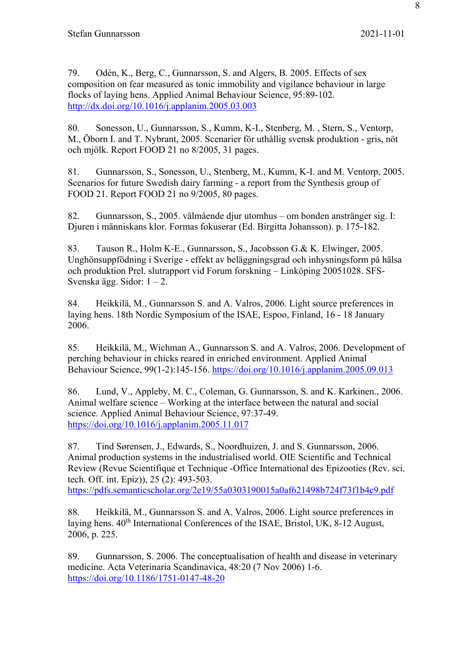79. Odén, K., Berg, C., Gunnarsson, S. and Algers, B. 2005. Effects of sex composition on fear measured as tonic immobility and vigilance behaviour in large flocks of laying hens. Applied Animal Behaviour Science, 95:89-102. http://dx.doi.org/10.1016/j.applanim.2005.03.003

80. Sonesson, U., Gunnarsson, S., Kumm, K-I., Stenberg, M. , Stern, S., Ventorp, M., Öborn I. and T. Nybrant, 2005. Scenarier för uthållig svensk produktion - gris, nöt och mjölk. Report FOOD 21 no 8/2005, 31 pages.

81. Gunnarsson, S., Sonesson, U., Stenberg, M., Kumm, K-I. and M. Ventorp, 2005. Scenarios for future Swedish dairy farming - a report from the Synthesis group of FOOD 21. Report FOOD 21 no 9/2005, 80 pages.

82. Gunnarsson, S., 2005. välmående djur utomhus – om bonden anstränger sig. I: Djuren i människans klor. Formas fokuserar (Ed. Birgitta Johansson). p. 175-182.

83. Tauson R., Holm K-E., Gunnarsson, S., Jacobsson G.& K. Elwinger, 2005. Unghönsuppfödning i Sverige - effekt av beläggningsgrad och inhysningsform på hälsa och produktion Prel. slutrapport vid Forum forskning – Linköping 20051028. SFS-Svenska ägg. Sidor: 1 – 2.

84. Heikkilä, M., Gunnarsson S. and A. Valros, 2006. Light source preferences in laying hens. 18th Nordic Symposium of the ISAE, Espoo, Finland, 16 - 18 January 2006.

85. Heikkilä, M., Wichman A., Gunnarsson S. and A. Valros, 2006. Development of perching behaviour in chicks reared in enriched environment. Applied Animal Behaviour Science, 99(1-2):145-156. https://doi.org/10.1016/j.applanim.2005.09.013

86. Lund, V., Appleby, M. C., Coleman, G. Gunnarsson, S. and K. Karkinen., 2006. Animal welfare science – Working at the interface between the natural and social science. Applied Animal Behaviour Science, 97:37-49. https://doi.org/10.1016/j.applanim.2005.11.017

87. Tind Sørensen, J., Edwards, S., Noordhuizen, J. and S. Gunnarsson, 2006. Animal production systems in the industrialised world. OIE Scientific and Technical Review (Revue Scientifique et Technique -Office International des Epizooties (Rev. sci. tech. Off. int. Epiz)), 25 (2): 493-503. https://pdfs.semanticscholar.org/2e19/55a0303190015a0af621498b724f73f1b4c9.pdf

88. Heikkilä, M., Gunnarsson S. and A. Valros, 2006. Light source preferences in laving hens. 40<sup>th</sup> International Conferences of the ISAE, Bristol, UK, 8-12 August, 2006, p. 225.

89. Gunnarsson, S. 2006. The conceptualisation of health and disease in veterinary medicine. Acta Veterinaria Scandinavica, 48:20 (7 Nov 2006) 1-6. https://doi.org/10.1186/1751-0147-48-20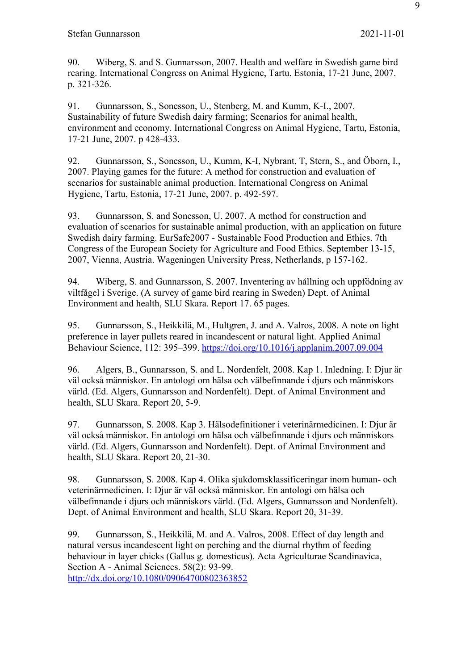90. Wiberg, S. and S. Gunnarsson, 2007. Health and welfare in Swedish game bird rearing. International Congress on Animal Hygiene, Tartu, Estonia, 17-21 June, 2007. p. 321-326.

91. Gunnarsson, S., Sonesson, U., Stenberg, M. and Kumm, K-I., 2007. Sustainability of future Swedish dairy farming; Scenarios for animal health, environment and economy. International Congress on Animal Hygiene, Tartu, Estonia, 17-21 June, 2007. p 428-433.

92. Gunnarsson, S., Sonesson, U., Kumm, K-I, Nybrant, T, Stern, S., and Öborn, I., 2007. Playing games for the future: A method for construction and evaluation of scenarios for sustainable animal production. International Congress on Animal Hygiene, Tartu, Estonia, 17-21 June, 2007. p. 492-597.

93. Gunnarsson, S. and Sonesson, U. 2007. A method for construction and evaluation of scenarios for sustainable animal production, with an application on future Swedish dairy farming. EurSafe2007 - Sustainable Food Production and Ethics. 7th Congress of the European Society for Agriculture and Food Ethics. September 13-15, 2007, Vienna, Austria. Wageningen University Press, Netherlands, p 157-162.

94. Wiberg, S. and Gunnarsson, S. 2007. Inventering av hållning och uppfödning av viltfågel i Sverige. (A survey of game bird rearing in Sweden) Dept. of Animal Environment and health, SLU Skara. Report 17. 65 pages.

95. Gunnarsson, S., Heikkilä, M., Hultgren, J. and A. Valros, 2008. A note on light preference in layer pullets reared in incandescent or natural light. Applied Animal Behaviour Science, 112: 395–399. https://doi.org/10.1016/j.applanim.2007.09.004

96. Algers, B., Gunnarsson, S. and L. Nordenfelt, 2008. Kap 1. Inledning. I: Djur är väl också människor. En antologi om hälsa och välbefinnande i djurs och människors värld. (Ed. Algers, Gunnarsson and Nordenfelt). Dept. of Animal Environment and health, SLU Skara. Report 20, 5-9.

97. Gunnarsson, S. 2008. Kap 3. Hälsodefinitioner i veterinärmedicinen. I: Djur är väl också människor. En antologi om hälsa och välbefinnande i djurs och människors värld. (Ed. Algers, Gunnarsson and Nordenfelt). Dept. of Animal Environment and health, SLU Skara. Report 20, 21-30.

98. Gunnarsson, S. 2008. Kap 4. Olika sjukdomsklassificeringar inom human- och veterinärmedicinen. I: Djur är väl också människor. En antologi om hälsa och välbefinnande i djurs och människors värld. (Ed. Algers, Gunnarsson and Nordenfelt). Dept. of Animal Environment and health, SLU Skara. Report 20, 31-39.

99. Gunnarsson, S., Heikkilä, M. and A. Valros, 2008. Effect of day length and natural versus incandescent light on perching and the diurnal rhythm of feeding behaviour in layer chicks (Gallus g. domesticus). Acta Agriculturae Scandinavica, Section A - Animal Sciences. 58(2): 93-99.

http://dx.doi.org/10.1080/09064700802363852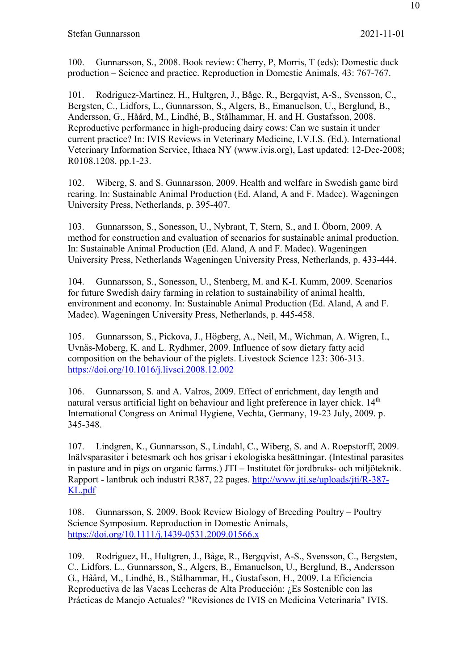100. Gunnarsson, S., 2008. Book review: Cherry, P, Morris, T (eds): Domestic duck production – Science and practice. Reproduction in Domestic Animals, 43: 767-767.

101. Rodriguez-Martinez, H., Hultgren, J., Båge, R., Bergqvist, A-S., Svensson, C., Bergsten, C., Lidfors, L., Gunnarsson, S., Algers, B., Emanuelson, U., Berglund, B., Andersson, G., Håård, M., Lindhé, B., Stålhammar, H. and H. Gustafsson, 2008. Reproductive performance in high-producing dairy cows: Can we sustain it under current practice? In: IVIS Reviews in Veterinary Medicine, I.V.I.S. (Ed.). International Veterinary Information Service, Ithaca NY (www.ivis.org), Last updated: 12-Dec-2008; R0108.1208. pp.1-23.

102. Wiberg, S. and S. Gunnarsson, 2009. Health and welfare in Swedish game bird rearing. In: Sustainable Animal Production (Ed. Aland, A and F. Madec). Wageningen University Press, Netherlands, p. 395-407.

103. Gunnarsson, S., Sonesson, U., Nybrant, T, Stern, S., and I. Öborn, 2009. A method for construction and evaluation of scenarios for sustainable animal production. In: Sustainable Animal Production (Ed. Aland, A and F. Madec). Wageningen University Press, Netherlands Wageningen University Press, Netherlands, p. 433-444.

104. Gunnarsson, S., Sonesson, U., Stenberg, M. and K-I. Kumm, 2009. Scenarios for future Swedish dairy farming in relation to sustainability of animal health, environment and economy. In: Sustainable Animal Production (Ed. Aland, A and F. Madec). Wageningen University Press, Netherlands, p. 445-458.

105. Gunnarsson, S., Pickova, J., Högberg, A., Neil, M., Wichman, A. Wigren, I., Uvnäs-Moberg, K. and L. Rydhmer, 2009. Influence of sow dietary fatty acid composition on the behaviour of the piglets. Livestock Science 123: 306-313. https://doi.org/10.1016/j.livsci.2008.12.002

106. Gunnarsson, S. and A. Valros, 2009. Effect of enrichment, day length and natural versus artificial light on behaviour and light preference in layer chick. 14<sup>th</sup> International Congress on Animal Hygiene, Vechta, Germany, 19-23 July, 2009. p. 345-348.

107. Lindgren, K., Gunnarsson, S., Lindahl, C., Wiberg, S. and A. Roepstorff, 2009. Inälvsparasiter i betesmark och hos grisar i ekologiska besättningar. (Intestinal parasites in pasture and in pigs on organic farms.) JTI – Institutet för jordbruks- och miljöteknik. Rapport - lantbruk och industri R387, 22 pages. http://www.jti.se/uploads/jti/R-387- KL.pdf

108. Gunnarsson, S. 2009. Book Review Biology of Breeding Poultry – Poultry Science Symposium. Reproduction in Domestic Animals, https://doi.org/10.1111/j.1439-0531.2009.01566.x

109. Rodriguez, H., Hultgren, J., Båge, R., Bergqvist, A-S., Svensson, C., Bergsten, C., Lidfors, L., Gunnarsson, S., Algers, B., Emanuelson, U., Berglund, B., Andersson G., Håård, M., Lindhé, B., Stålhammar, H., Gustafsson, H., 2009. La Eficiencia Reproductiva de las Vacas Lecheras de Alta Producción: ¿Es Sostenible con las Prácticas de Manejo Actuales? "Revisiones de IVIS en Medicina Veterinaria" IVIS.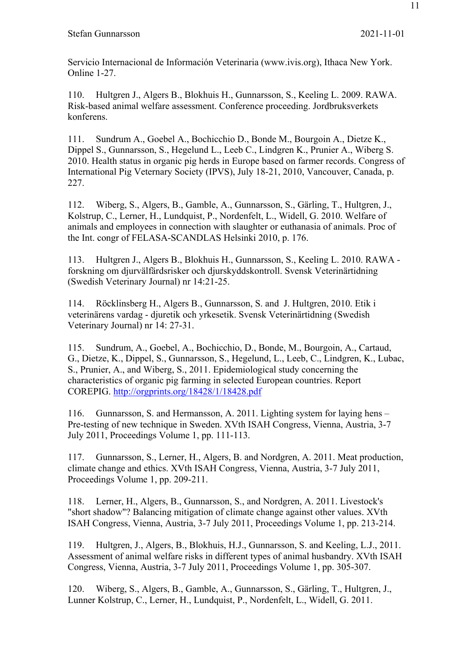Servicio Internacional de Información Veterinaria (www.ivis.org), Ithaca New York. Online 1-27.

110. Hultgren J., Algers B., Blokhuis H., Gunnarsson, S., Keeling L. 2009. RAWA. Risk-based animal welfare assessment. Conference proceeding. Jordbruksverkets konferens.

111. Sundrum A., Goebel A., Bochicchio D., Bonde M., Bourgoin A., Dietze K., Dippel S., Gunnarsson, S., Hegelund L., Leeb C., Lindgren K., Prunier A., Wiberg S. 2010. Health status in organic pig herds in Europe based on farmer records. Congress of International Pig Veternary Society (IPVS), July 18-21, 2010, Vancouver, Canada, p. 227.

112. Wiberg, S., Algers, B., Gamble, A., Gunnarsson, S., Gärling, T., Hultgren, J., Kolstrup, C., Lerner, H., Lundquist, P., Nordenfelt, L., Widell, G. 2010. Welfare of animals and employees in connection with slaughter or euthanasia of animals. Proc of the Int. congr of FELASA-SCANDLAS Helsinki 2010, p. 176.

113. Hultgren J., Algers B., Blokhuis H., Gunnarsson, S., Keeling L. 2010. RAWA forskning om djurvälfärdsrisker och djurskyddskontroll. Svensk Veterinärtidning (Swedish Veterinary Journal) nr 14:21-25.

114. Röcklinsberg H., Algers B., Gunnarsson, S. and J. Hultgren, 2010. Etik i veterinärens vardag - djuretik och yrkesetik. Svensk Veterinärtidning (Swedish Veterinary Journal) nr 14: 27-31.

115. Sundrum, A., Goebel, A., Bochicchio, D., Bonde, M., Bourgoin, A., Cartaud, G., Dietze, K., Dippel, S., Gunnarsson, S., Hegelund, L., Leeb, C., Lindgren, K., Lubac, S., Prunier, A., and Wiberg, S., 2011. Epidemiological study concerning the characteristics of organic pig farming in selected European countries. Report COREPIG. http://orgprints.org/18428/1/18428.pdf

116. Gunnarsson, S. and Hermansson, A. 2011. Lighting system for laying hens – Pre-testing of new technique in Sweden. XVth ISAH Congress, Vienna, Austria, 3-7 July 2011, Proceedings Volume 1, pp. 111-113.

117. Gunnarsson, S., Lerner, H., Algers, B. and Nordgren, A. 2011. Meat production, climate change and ethics. XVth ISAH Congress, Vienna, Austria, 3-7 July 2011, Proceedings Volume 1, pp. 209-211.

118. Lerner, H., Algers, B., Gunnarsson, S., and Nordgren, A. 2011. Livestock's "short shadow"? Balancing mitigation of climate change against other values. XVth ISAH Congress, Vienna, Austria, 3-7 July 2011, Proceedings Volume 1, pp. 213-214.

119. Hultgren, J., Algers, B., Blokhuis, H.J., Gunnarsson, S. and Keeling, L.J., 2011. Assessment of animal welfare risks in different types of animal husbandry. XVth ISAH Congress, Vienna, Austria, 3-7 July 2011, Proceedings Volume 1, pp. 305-307.

120. Wiberg, S., Algers, B., Gamble, A., Gunnarsson, S., Gärling, T., Hultgren, J., Lunner Kolstrup, C., Lerner, H., Lundquist, P., Nordenfelt, L., Widell, G. 2011.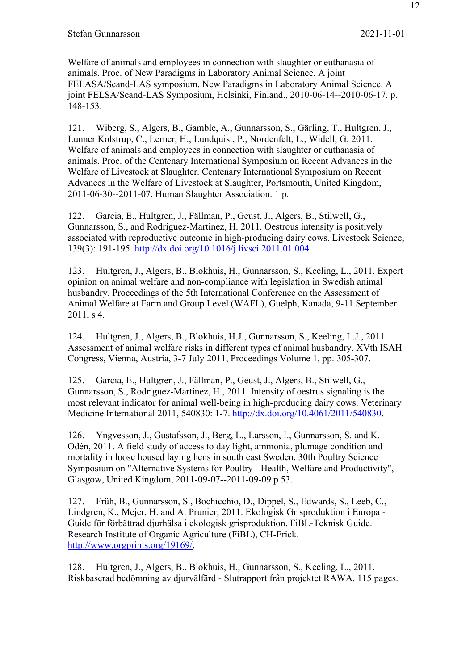Welfare of animals and employees in connection with slaughter or euthanasia of animals. Proc. of New Paradigms in Laboratory Animal Science. A joint FELASA/Scand-LAS symposium. New Paradigms in Laboratory Animal Science. A joint FELSA/Scand-LAS Symposium, Helsinki, Finland., 2010-06-14--2010-06-17. p. 148-153.

121. Wiberg, S., Algers, B., Gamble, A., Gunnarsson, S., Gärling, T., Hultgren, J., Lunner Kolstrup, C., Lerner, H., Lundquist, P., Nordenfelt, L., Widell, G. 2011. Welfare of animals and employees in connection with slaughter or euthanasia of animals. Proc. of the Centenary International Symposium on Recent Advances in the Welfare of Livestock at Slaughter. Centenary International Symposium on Recent Advances in the Welfare of Livestock at Slaughter, Portsmouth, United Kingdom, 2011-06-30--2011-07. Human Slaughter Association. 1 p.

122. Garcia, E., Hultgren, J., Fällman, P., Geust, J., Algers, B., Stilwell, G., Gunnarsson, S., and Rodriguez-Martinez, H. 2011. Oestrous intensity is positively associated with reproductive outcome in high-producing dairy cows. Livestock Science, 139(3): 191-195. http://dx.doi.org/10.1016/j.livsci.2011.01.004

123. Hultgren, J., Algers, B., Blokhuis, H., Gunnarsson, S., Keeling, L., 2011. Expert opinion on animal welfare and non-compliance with legislation in Swedish animal husbandry. Proceedings of the 5th International Conference on the Assessment of Animal Welfare at Farm and Group Level (WAFL), Guelph, Kanada, 9-11 September 2011, s 4.

124. Hultgren, J., Algers, B., Blokhuis, H.J., Gunnarsson, S., Keeling, L.J., 2011. Assessment of animal welfare risks in different types of animal husbandry. XVth ISAH Congress, Vienna, Austria, 3-7 July 2011, Proceedings Volume 1, pp. 305-307.

125. Garcia, E., Hultgren, J., Fällman, P., Geust, J., Algers, B., Stilwell, G., Gunnarsson, S., Rodriguez-Martinez, H., 2011. Intensity of oestrus signaling is the most relevant indicator for animal well-being in high-producing dairy cows. Veterinary Medicine International 2011, 540830: 1-7. http://dx.doi.org/10.4061/2011/540830.

126. Yngvesson, J., Gustafsson, J., Berg, L., Larsson, I., Gunnarsson, S. and K. Odén, 2011. A field study of access to day light, ammonia, plumage condition and mortality in loose housed laying hens in south east Sweden. 30th Poultry Science Symposium on "Alternative Systems for Poultry - Health, Welfare and Productivity", Glasgow, United Kingdom, 2011-09-07--2011-09-09 p 53.

127. Früh, B., Gunnarsson, S., Bochicchio, D., Dippel, S., Edwards, S., Leeb, C., Lindgren, K., Mejer, H. and A. Prunier, 2011. Ekologisk Grisproduktion i Europa - Guide för förbättrad djurhälsa i ekologisk grisproduktion. FiBL-Teknisk Guide. Research Institute of Organic Agriculture (FiBL), CH-Frick. http://www.orgprints.org/19169/.

128. Hultgren, J., Algers, B., Blokhuis, H., Gunnarsson, S., Keeling, L., 2011. Riskbaserad bedömning av djurvälfärd - Slutrapport från projektet RAWA. 115 pages.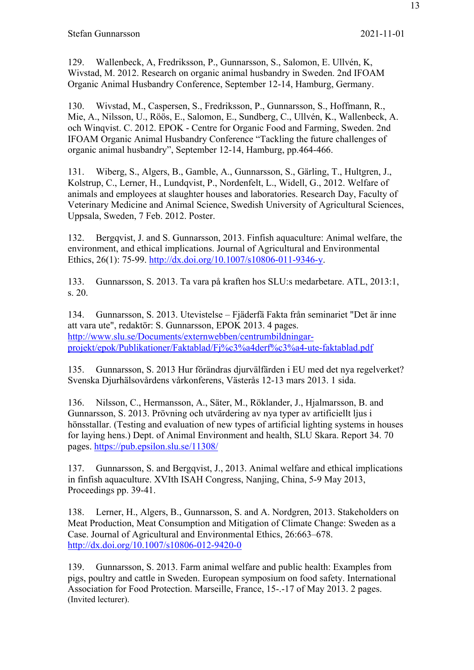129. Wallenbeck, A, Fredriksson, P., Gunnarsson, S., Salomon, E. Ullvén, K, Wivstad, M. 2012. Research on organic animal husbandry in Sweden. 2nd IFOAM Organic Animal Husbandry Conference, September 12-14, Hamburg, Germany.

130. Wivstad, M., Caspersen, S., Fredriksson, P., Gunnarsson, S., Hoffmann, R., Mie, A., Nilsson, U., Röös, E., Salomon, E., Sundberg, C., Ullvén, K., Wallenbeck, A. och Winqvist. C. 2012. EPOK - Centre for Organic Food and Farming, Sweden. 2nd IFOAM Organic Animal Husbandry Conference "Tackling the future challenges of organic animal husbandry", September 12-14, Hamburg, pp.464-466.

131. Wiberg, S., Algers, B., Gamble, A., Gunnarsson, S., Gärling, T., Hultgren, J., Kolstrup, C., Lerner, H., Lundqvist, P., Nordenfelt, L., Widell, G., 2012. Welfare of animals and employees at slaughter houses and laboratories. Research Day, Faculty of Veterinary Medicine and Animal Science, Swedish University of Agricultural Sciences, Uppsala, Sweden, 7 Feb. 2012. Poster.

132. Bergqvist, J. and S. Gunnarsson, 2013. Finfish aquaculture: Animal welfare, the environment, and ethical implications. Journal of Agricultural and Environmental Ethics, 26(1): 75-99. http://dx.doi.org/10.1007/s10806-011-9346-y.

133. Gunnarsson, S. 2013. Ta vara på kraften hos SLU:s medarbetare. ATL, 2013:1, s. 20.

134. Gunnarsson, S. 2013. Utevistelse – Fjäderfä Fakta från seminariet "Det är inne att vara ute", redaktör: S. Gunnarsson, EPOK 2013. 4 pages. http://www.slu.se/Documents/externwebben/centrumbildningarprojekt/epok/Publikationer/Faktablad/Fj%c3%a4derf%c3%a4-ute-faktablad.pdf

135. Gunnarsson, S. 2013 Hur förändras djurvälfärden i EU med det nya regelverket? Svenska Djurhälsovårdens vårkonferens, Västerås 12-13 mars 2013. 1 sida.

136. Nilsson, C., Hermansson, A., Säter, M., Röklander, J., Hjalmarsson, B. and Gunnarsson, S. 2013. Prövning och utvärdering av nya typer av artificiellt ljus i hönsstallar. (Testing and evaluation of new types of artificial lighting systems in houses for laying hens.) Dept. of Animal Environment and health, SLU Skara. Report 34. 70 pages. https://pub.epsilon.slu.se/11308/

137. Gunnarsson, S. and Bergqvist, J., 2013. Animal welfare and ethical implications in finfish aquaculture. XVIth ISAH Congress, Nanjing, China, 5-9 May 2013, Proceedings pp. 39-41.

138. Lerner, H., Algers, B., Gunnarsson, S. and A. Nordgren, 2013. Stakeholders on Meat Production, Meat Consumption and Mitigation of Climate Change: Sweden as a Case. Journal of Agricultural and Environmental Ethics, 26:663–678. http://dx.doi.org/10.1007/s10806-012-9420-0

139. Gunnarsson, S. 2013. Farm animal welfare and public health: Examples from pigs, poultry and cattle in Sweden. European symposium on food safety. International Association for Food Protection. Marseille, France, 15-.-17 of May 2013. 2 pages. (Invited lecturer).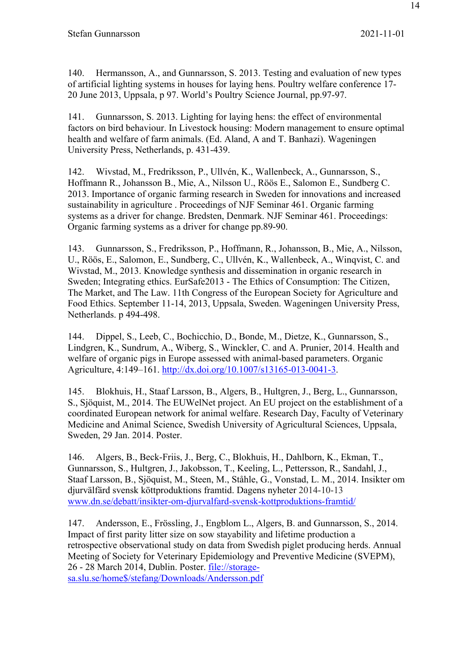140. Hermansson, A., and Gunnarsson, S. 2013. Testing and evaluation of new types of artificial lighting systems in houses for laying hens. Poultry welfare conference 17- 20 June 2013, Uppsala, p 97. World's Poultry Science Journal, pp.97-97.

141. Gunnarsson, S. 2013. Lighting for laying hens: the effect of environmental factors on bird behaviour. In Livestock housing: Modern management to ensure optimal health and welfare of farm animals. (Ed. Aland, A and T. Banhazi). Wageningen University Press, Netherlands, p. 431-439.

142. Wivstad, M., Fredriksson, P., Ullvén, K., Wallenbeck, A., Gunnarsson, S., Hoffmann R., Johansson B., Mie, A., Nilsson U., Röös E., Salomon E., Sundberg C. 2013. Importance of organic farming research in Sweden for innovations and increased sustainability in agriculture . Proceedings of NJF Seminar 461. Organic farming systems as a driver for change. Bredsten, Denmark. NJF Seminar 461. Proceedings: Organic farming systems as a driver for change pp.89-90.

143. Gunnarsson, S., Fredriksson, P., Hoffmann, R., Johansson, B., Mie, A., Nilsson, U., Röös, E., Salomon, E., Sundberg, C., Ullvén, K., Wallenbeck, A., Winqvist, C. and Wivstad, M., 2013. Knowledge synthesis and dissemination in organic research in Sweden; Integrating ethics. EurSafe2013 - The Ethics of Consumption: The Citizen, The Market, and The Law. 11th Congress of the European Society for Agriculture and Food Ethics. September 11-14, 2013, Uppsala, Sweden. Wageningen University Press, Netherlands. p 494-498.

144. Dippel, S., Leeb, C., Bochicchio, D., Bonde, M., Dietze, K., Gunnarsson, S., Lindgren, K., Sundrum, A., Wiberg, S., Winckler, C. and A. Prunier, 2014. Health and welfare of organic pigs in Europe assessed with animal-based parameters. Organic Agriculture, 4:149–161. http://dx.doi.org/10.1007/s13165-013-0041-3.

145. Blokhuis, H., Staaf Larsson, B., Algers, B., Hultgren, J., Berg, L., Gunnarsson, S., Sjöquist, M., 2014. The EUWelNet project. An EU project on the establishment of a coordinated European network for animal welfare. Research Day, Faculty of Veterinary Medicine and Animal Science, Swedish University of Agricultural Sciences, Uppsala, Sweden, 29 Jan. 2014. Poster.

146. Algers, B., Beck-Friis, J., Berg, C., Blokhuis, H., Dahlborn, K., Ekman, T., Gunnarsson, S., Hultgren, J., Jakobsson, T., Keeling, L., Pettersson, R., Sandahl, J., Staaf Larsson, B., Sjöquist, M., Steen, M., Ståhle, G., Vonstad, L. M., 2014. Insikter om djurvälfärd svensk köttproduktions framtid. Dagens nyheter 2014-10-13 www.dn.se/debatt/insikter-om-djurvalfard-svensk-kottproduktions-framtid/

147. Andersson, E., Frössling, J., Engblom L., Algers, B. and Gunnarsson, S., 2014. Impact of first parity litter size on sow stayability and lifetime production a retrospective observational study on data from Swedish piglet producing herds. Annual Meeting of Society for Veterinary Epidemiology and Preventive Medicine (SVEPM), 26 - 28 March 2014, Dublin. Poster. file://storagesa.slu.se/home\$/stefang/Downloads/Andersson.pdf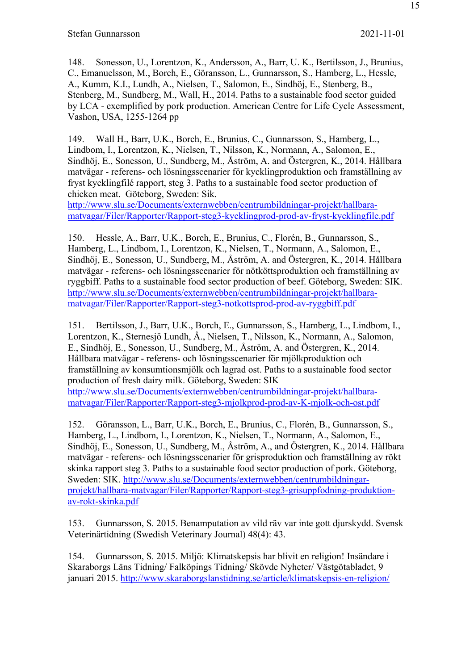148. Sonesson, U., Lorentzon, K., Andersson, A., Barr, U. K., Bertilsson, J., Brunius, C., Emanuelsson, M., Borch, E., Göransson, L., Gunnarsson, S., Hamberg, L., Hessle, A., Kumm, K.I., Lundh, A., Nielsen, T., Salomon, E., Sindhöj, E., Stenberg, B., Stenberg, M., Sundberg, M., Wall, H., 2014. Paths to a sustainable food sector guided by LCA - exemplified by pork production. American Centre for Life Cycle Assessment, Vashon, USA, 1255-1264 pp

149. Wall H., Barr, U.K., Borch, E., Brunius, C., Gunnarsson, S., Hamberg, L., Lindbom, I., Lorentzon, K., Nielsen, T., Nilsson, K., Normann, A., Salomon, E., Sindhöj, E., Sonesson, U., Sundberg, M., Åström, A. and Östergren, K., 2014. Hållbara matvägar - referens- och lösningsscenarier för kycklingproduktion och framställning av fryst kycklingfilé rapport, steg 3. Paths to a sustainable food sector production of chicken meat. Göteborg, Sweden: Sik.

http://www.slu.se/Documents/externwebben/centrumbildningar-projekt/hallbaramatvagar/Filer/Rapporter/Rapport-steg3-kycklingprod-prod-av-fryst-kycklingfile.pdf

150. Hessle, A., Barr, U.K., Borch, E., Brunius, C., Florén, B., Gunnarsson, S., Hamberg, L., Lindbom, I., Lorentzon, K., Nielsen, T., Normann, A., Salomon, E., Sindhöj, E., Sonesson, U., Sundberg, M., Åström, A. and Östergren, K., 2014. Hållbara matvägar - referens- och lösningsscenarier för nötköttsproduktion och framställning av ryggbiff. Paths to a sustainable food sector production of beef. Göteborg, Sweden: SIK. http://www.slu.se/Documents/externwebben/centrumbildningar-projekt/hallbaramatvagar/Filer/Rapporter/Rapport-steg3-notkottsprod-prod-av-ryggbiff.pdf

151. Bertilsson, J., Barr, U.K., Borch, E., Gunnarsson, S., Hamberg, L., Lindbom, I., Lorentzon, K., Sternesjö Lundh, Å., Nielsen, T., Nilsson, K., Normann, A., Salomon, E., Sindhöj, E., Sonesson, U., Sundberg, M., Åström, A. and Östergren, K., 2014. Hållbara matvägar - referens- och lösningsscenarier för mjölkproduktion och framställning av konsumtionsmjölk och lagrad ost. Paths to a sustainable food sector production of fresh dairy milk. Göteborg, Sweden: SIK http://www.slu.se/Documents/externwebben/centrumbildningar-projekt/hallbaramatvagar/Filer/Rapporter/Rapport-steg3-mjolkprod-prod-av-K-mjolk-och-ost.pdf

152. Göransson, L., Barr, U.K., Borch, E., Brunius, C., Florén, B., Gunnarsson, S., Hamberg, L., Lindbom, I., Lorentzon, K., Nielsen, T., Normann, A., Salomon, E., Sindhöj, E., Sonesson, U., Sundberg, M., Åström, A., and Östergren, K., 2014. Hållbara matvägar - referens- och lösningsscenarier för grisproduktion och framställning av rökt skinka rapport steg 3. Paths to a sustainable food sector production of pork. Göteborg, Sweden: SIK. http://www.slu.se/Documents/externwebben/centrumbildningarprojekt/hallbara-matvagar/Filer/Rapporter/Rapport-steg3-grisuppfodning-produktionav-rokt-skinka.pdf

153. Gunnarsson, S. 2015. Benamputation av vild räv var inte gott djurskydd. Svensk Veterinärtidning (Swedish Veterinary Journal) 48(4): 43.

154. Gunnarsson, S. 2015. Miljö: Klimatskepsis har blivit en religion! Insändare i Skaraborgs Läns Tidning/ Falköpings Tidning/ Skövde Nyheter/ Västgötabladet, 9 januari 2015. http://www.skaraborgslanstidning.se/article/klimatskepsis-en-religion/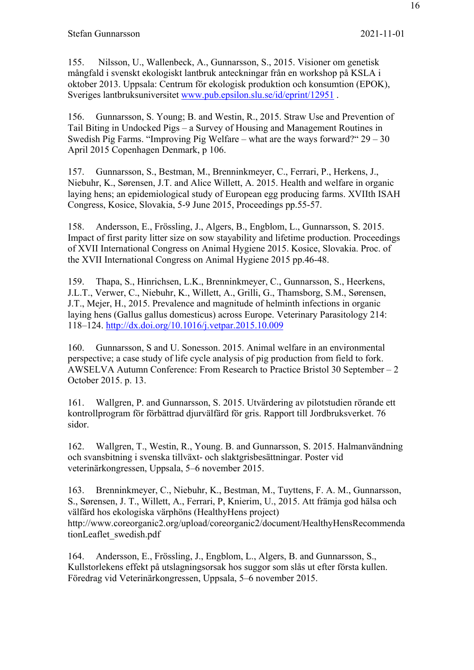155. Nilsson, U., Wallenbeck, A., Gunnarsson, S., 2015. Visioner om genetisk mångfald i svenskt ekologiskt lantbruk anteckningar från en workshop på KSLA i oktober 2013. Uppsala: Centrum för ekologisk produktion och konsumtion (EPOK), Sveriges lantbruksuniversitet www.pub.epsilon.slu.se/id/eprint/12951 .

156. Gunnarsson, S. Young; B. and Westin, R., 2015. Straw Use and Prevention of Tail Biting in Undocked Pigs – a Survey of Housing and Management Routines in Swedish Pig Farms. "Improving Pig Welfare – what are the ways forward?" 29 – 30 April 2015 Copenhagen Denmark, p 106.

157. Gunnarsson, S., Bestman, M., Brenninkmeyer, C., Ferrari, P., Herkens, J., Niebuhr, K., Sørensen, J.T. and Alice Willett, A. 2015. Health and welfare in organic laying hens; an epidemiological study of European egg producing farms. XVIIth ISAH Congress, Kosice, Slovakia, 5-9 June 2015, Proceedings pp.55-57.

158. Andersson, E., Frössling, J., Algers, B., Engblom, L., Gunnarsson, S. 2015. Impact of first parity litter size on sow stayability and lifetime production. Proceedings of XVII International Congress on Animal Hygiene 2015. Kosice, Slovakia. Proc. of the XVII International Congress on Animal Hygiene 2015 pp.46-48.

159. Thapa, S., Hinrichsen, L.K., Brenninkmeyer, C., Gunnarsson, S., Heerkens, J.L.T., Verwer, C., Niebuhr, K., Willett, A., Grilli, G., Thamsborg, S.M., Sørensen, J.T., Mejer, H., 2015. Prevalence and magnitude of helminth infections in organic laying hens (Gallus gallus domesticus) across Europe. Veterinary Parasitology 214: 118–124. http://dx.doi.org/10.1016/j.vetpar.2015.10.009

160. Gunnarsson, S and U. Sonesson. 2015. Animal welfare in an environmental perspective; a case study of life cycle analysis of pig production from field to fork. AWSELVA Autumn Conference: From Research to Practice Bristol 30 September – 2 October 2015. p. 13.

161. Wallgren, P. and Gunnarsson, S. 2015. Utvärdering av pilotstudien rörande ett kontrollprogram för förbättrad djurvälfärd för gris. Rapport till Jordbruksverket. 76 sidor.

162. Wallgren, T., Westin, R., Young. B. and Gunnarsson, S. 2015. Halmanvändning och svansbitning i svenska tillväxt- och slaktgrisbesättningar. Poster vid veterinärkongressen, Uppsala, 5–6 november 2015.

163. Brenninkmeyer, C., Niebuhr, K., Bestman, M., Tuyttens, F. A. M., Gunnarsson, S., Sørensen, J. T., Willett, A., Ferrari, P, Knierim, U., 2015. Att främja god hälsa och välfärd hos ekologiska värphöns (HealthyHens project) http://www.coreorganic2.org/upload/coreorganic2/document/HealthyHensRecommenda tionLeaflet\_swedish.pdf

164. Andersson, E., Frössling, J., Engblom, L., Algers, B. and Gunnarsson, S., Kullstorlekens effekt på utslagningsorsak hos suggor som slås ut efter första kullen. Föredrag vid Veterinärkongressen, Uppsala, 5–6 november 2015.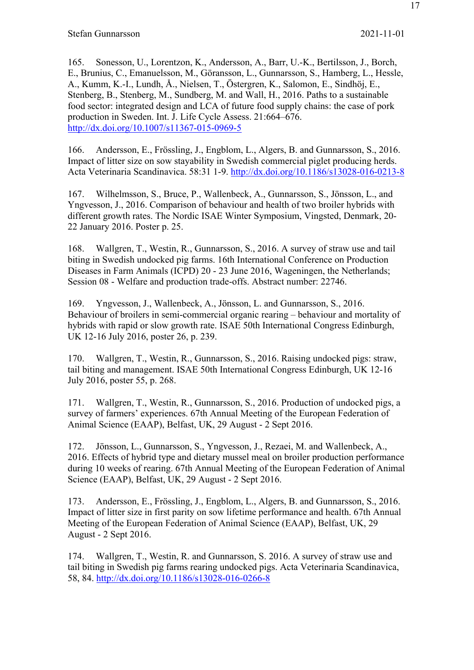165. Sonesson, U., Lorentzon, K., Andersson, A., Barr, U.-K., Bertilsson, J., Borch, E., Brunius, C., Emanuelsson, M., Göransson, L., Gunnarsson, S., Hamberg, L., Hessle, A., Kumm, K.-I., Lundh, Å., Nielsen, T., Östergren, K., Salomon, E., Sindhöj, E., Stenberg, B., Stenberg, M., Sundberg, M. and Wall, H., 2016. Paths to a sustainable food sector: integrated design and LCA of future food supply chains: the case of pork production in Sweden. Int. J. Life Cycle Assess. 21:664–676. http://dx.doi.org/10.1007/s11367-015-0969-5

166. Andersson, E., Frössling, J., Engblom, L., Algers, B. and Gunnarsson, S., 2016. Impact of litter size on sow stayability in Swedish commercial piglet producing herds. Acta Veterinaria Scandinavica. 58:31 1-9. http://dx.doi.org/10.1186/s13028-016-0213-8

167. Wilhelmsson, S., Bruce, P., Wallenbeck, A., Gunnarsson, S., Jönsson, L., and Yngvesson, J., 2016. Comparison of behaviour and health of two broiler hybrids with different growth rates. The Nordic ISAE Winter Symposium, Vingsted, Denmark, 20- 22 January 2016. Poster p. 25.

168. Wallgren, T., Westin, R., Gunnarsson, S., 2016. A survey of straw use and tail biting in Swedish undocked pig farms. 16th International Conference on Production Diseases in Farm Animals (ICPD) 20 - 23 June 2016, Wageningen, the Netherlands; Session 08 - Welfare and production trade-offs. Abstract number: 22746.

169. Yngvesson, J., Wallenbeck, A., Jönsson, L. and Gunnarsson, S., 2016. Behaviour of broilers in semi-commercial organic rearing – behaviour and mortality of hybrids with rapid or slow growth rate. ISAE 50th International Congress Edinburgh, UK 12-16 July 2016, poster 26, p. 239.

170. Wallgren, T., Westin, R., Gunnarsson, S., 2016. Raising undocked pigs: straw, tail biting and management. ISAE 50th International Congress Edinburgh, UK 12-16 July 2016, poster 55, p. 268.

171. Wallgren, T., Westin, R., Gunnarsson, S., 2016. Production of undocked pigs, a survey of farmers' experiences. 67th Annual Meeting of the European Federation of Animal Science (EAAP), Belfast, UK, 29 August - 2 Sept 2016.

172. Jönsson, L., Gunnarsson, S., Yngvesson, J., Rezaei, M. and Wallenbeck, A., 2016. Effects of hybrid type and dietary mussel meal on broiler production performance during 10 weeks of rearing. 67th Annual Meeting of the European Federation of Animal Science (EAAP), Belfast, UK, 29 August - 2 Sept 2016.

173. Andersson, E., Frössling, J., Engblom, L., Algers, B. and Gunnarsson, S., 2016. Impact of litter size in first parity on sow lifetime performance and health. 67th Annual Meeting of the European Federation of Animal Science (EAAP), Belfast, UK, 29 August - 2 Sept 2016.

174. Wallgren, T., Westin, R. and Gunnarsson, S. 2016. A survey of straw use and tail biting in Swedish pig farms rearing undocked pigs. Acta Veterinaria Scandinavica, 58, 84. http://dx.doi.org/10.1186/s13028-016-0266-8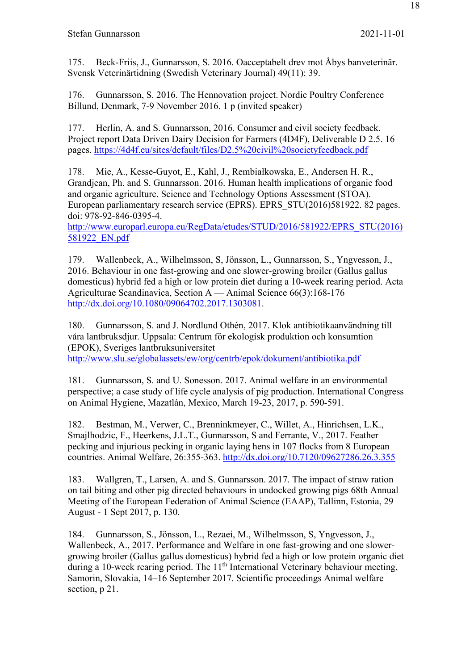175. Beck-Friis, J., Gunnarsson, S. 2016. Oacceptabelt drev mot Åbys banveterinär. Svensk Veterinärtidning (Swedish Veterinary Journal) 49(11): 39.

176. Gunnarsson, S. 2016. The Hennovation project. Nordic Poultry Conference Billund, Denmark, 7-9 November 2016. 1 p (invited speaker)

177. Herlin, A. and S. Gunnarsson, 2016. Consumer and civil society feedback. Project report Data Driven Dairy Decision for Farmers (4D4F), Deliverable D 2.5. 16 pages. https://4d4f.eu/sites/default/files/D2.5%20civil%20societyfeedback.pdf

178. Mie, A., Kesse-Guyot, E., Kahl, J., Rembiałkowska, E., Andersen H. R., Grandjean, Ph. and S. Gunnarsson. 2016. Human health implications of organic food and organic agriculture. Science and Technology Options Assessment (STOA). European parliamentary research service (EPRS). EPRS\_STU(2016)581922. 82 pages. doi: 978-92-846-0395-4.

http://www.europarl.europa.eu/RegData/etudes/STUD/2016/581922/EPRS\_STU(2016) 581922\_EN.pdf

179. Wallenbeck, A., Wilhelmsson, S, Jönsson, L., Gunnarsson, S., Yngvesson, J., 2016. Behaviour in one fast-growing and one slower-growing broiler (Gallus gallus domesticus) hybrid fed a high or low protein diet during a 10-week rearing period. Acta Agriculturae Scandinavica, Section A — Animal Science 66(3):168-176 http://dx.doi.org/10.1080/09064702.2017.1303081.

180. Gunnarsson, S. and J. Nordlund Othén, 2017. Klok antibiotikaanvändning till våra lantbruksdjur. Uppsala: Centrum för ekologisk produktion och konsumtion (EPOK), Sveriges lantbruksuniversitet

http://www.slu.se/globalassets/ew/org/centrb/epok/dokument/antibiotika.pdf

181. Gunnarsson, S. and U. Sonesson. 2017. Animal welfare in an environmental perspective; a case study of life cycle analysis of pig production. International Congress on Animal Hygiene, Mazatlán, Mexico, March 19-23, 2017, p. 590-591.

182. Bestman, M., Verwer, C., Brenninkmeyer, C., Willet, A., Hinrichsen, L.K., Smajlhodzic, F., Heerkens, J.L.T., Gunnarsson, S and Ferrante, V., 2017. Feather pecking and injurious pecking in organic laying hens in 107 flocks from 8 European countries. Animal Welfare, 26:355-363. http://dx.doi.org/10.7120/09627286.26.3.355

183. Wallgren, T., Larsen, A. and S. Gunnarsson. 2017. The impact of straw ration on tail biting and other pig directed behaviours in undocked growing pigs 68th Annual Meeting of the European Federation of Animal Science (EAAP), Tallinn, Estonia, 29 August - 1 Sept 2017, p. 130.

184. Gunnarsson, S., Jönsson, L., Rezaei, M., Wilhelmsson, S, Yngvesson, J., Wallenbeck, A., 2017. Performance and Welfare in one fast-growing and one slowergrowing broiler (Gallus gallus domesticus) hybrid fed a high or low protein organic diet during a 10-week rearing period. The 11<sup>th</sup> International Veterinary behaviour meeting, Samorin, Slovakia, 14–16 September 2017. Scientific proceedings Animal welfare section, p 21.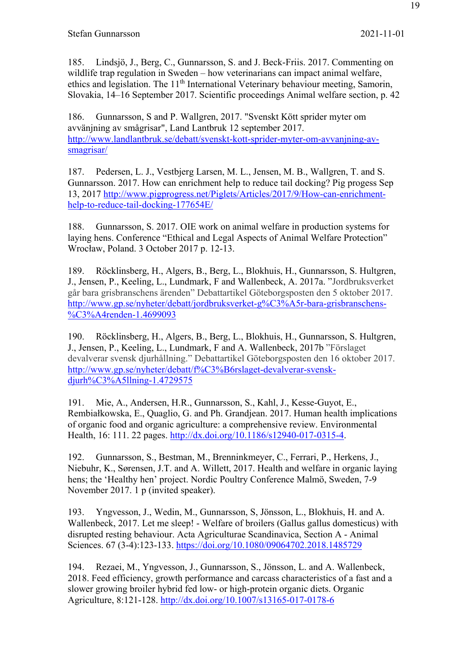185. Lindsjö, J., Berg, C., Gunnarsson, S. and J. Beck-Friis. 2017. Commenting on wildlife trap regulation in Sweden – how veterinarians can impact animal welfare, ethics and legislation. The 11<sup>th</sup> International Veterinary behaviour meeting, Samorin, Slovakia, 14–16 September 2017. Scientific proceedings Animal welfare section, p. 42

186. Gunnarsson, S and P. Wallgren, 2017. "Svenskt Kött sprider myter om avvänjning av smågrisar", Land Lantbruk 12 september 2017. http://www.landlantbruk.se/debatt/svenskt-kott-sprider-myter-om-avvanjning-avsmagrisar/

187. Pedersen, L. J., Vestbjerg Larsen, M. L., Jensen, M. B., Wallgren, T. and S. Gunnarsson. 2017. How can enrichment help to reduce tail docking? Pig progess Sep 13, 2017 http://www.pigprogress.net/Piglets/Articles/2017/9/How-can-enrichmenthelp-to-reduce-tail-docking-177654E/

188. Gunnarsson, S. 2017. OIE work on animal welfare in production systems for laying hens. Conference "Ethical and Legal Aspects of Animal Welfare Protection" Wrocław, Poland. 3 October 2017 p. 12-13.

189. Röcklinsberg, H., Algers, B., Berg, L., Blokhuis, H., Gunnarsson, S. Hultgren, J., Jensen, P., Keeling, L., Lundmark, F and Wallenbeck, A. 2017a. "Jordbruksverket går bara grisbranschens ärenden" Debattartikel Göteborgsposten den 5 oktober 2017. http://www.gp.se/nyheter/debatt/jordbruksverket-g%C3%A5r-bara-grisbranschens- %C3%A4renden-1.4699093

190. Röcklinsberg, H., Algers, B., Berg, L., Blokhuis, H., Gunnarsson, S. Hultgren, J., Jensen, P., Keeling, L., Lundmark, F and A. Wallenbeck, 2017b "Förslaget devalverar svensk djurhållning." Debattartikel Göteborgsposten den 16 oktober 2017. http://www.gp.se/nyheter/debatt/f%C3%B6rslaget-devalverar-svenskdjurh%C3%A5llning-1.4729575

191. Mie, A., Andersen, H.R., Gunnarsson, S., Kahl, J., Kesse-Guyot, E., Rembiałkowska, E., Quaglio, G. and Ph. Grandjean. 2017. Human health implications of organic food and organic agriculture: a comprehensive review. Environmental Health, 16: 111. 22 pages. http://dx.doi.org/10.1186/s12940-017-0315-4.

192. Gunnarsson, S., Bestman, M., Brenninkmeyer, C., Ferrari, P., Herkens, J., Niebuhr, K., Sørensen, J.T. and A. Willett, 2017. Health and welfare in organic laying hens; the 'Healthy hen' project. Nordic Poultry Conference Malmö, Sweden, 7-9 November 2017. 1 p (invited speaker).

193. Yngvesson, J., Wedin, M., Gunnarsson, S, Jönsson, L., Blokhuis, H. and A. Wallenbeck, 2017. Let me sleep! - Welfare of broilers (Gallus gallus domesticus) with disrupted resting behaviour. Acta Agriculturae Scandinavica, Section A - Animal Sciences. 67 (3-4):123-133. https://doi.org/10.1080/09064702.2018.1485729

194. Rezaei, M., Yngvesson, J., Gunnarsson, S., Jönsson, L. and A. Wallenbeck, 2018. Feed efficiency, growth performance and carcass characteristics of a fast and a slower growing broiler hybrid fed low- or high-protein organic diets. Organic Agriculture, 8:121-128. http://dx.doi.org/10.1007/s13165-017-0178-6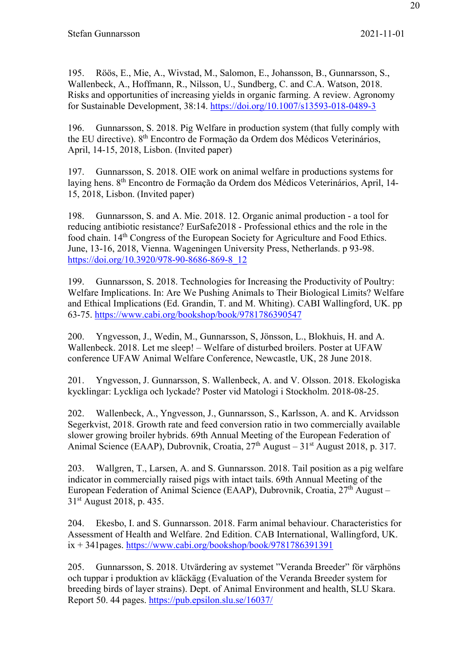195. Röös, E., Mie, A., Wivstad, M., Salomon, E., Johansson, B., Gunnarsson, S., Wallenbeck, A., Hoffmann, R., Nilsson, U., Sundberg, C. and C.A. Watson, 2018. Risks and opportunities of increasing yields in organic farming. A review. Agronomy for Sustainable Development, 38:14. https://doi.org/10.1007/s13593-018-0489-3

196. Gunnarsson, S. 2018. Pig Welfare in production system (that fully comply with the EU directive). 8<sup>th</sup> Encontro de Formação da Ordem dos Médicos Veterinários, April, 14-15, 2018, Lisbon. (Invited paper)

197. Gunnarsson, S. 2018. OIE work on animal welfare in productions systems for laying hens. 8th Encontro de Formação da Ordem dos Médicos Veterinários, April, 14- 15, 2018, Lisbon. (Invited paper)

198. Gunnarsson, S. and A. Mie. 2018. 12. Organic animal production - a tool for reducing antibiotic resistance? EurSafe2018 - Professional ethics and the role in the food chain. 14<sup>th</sup> Congress of the European Society for Agriculture and Food Ethics. June, 13-16, 2018, Vienna. Wageningen University Press, Netherlands. p 93-98. https://doi.org/10.3920/978-90-8686-869-8\_12

199. Gunnarsson, S. 2018. Technologies for Increasing the Productivity of Poultry: Welfare Implications. In: Are We Pushing Animals to Their Biological Limits? Welfare and Ethical Implications (Ed. Grandin, T. and M. Whiting). CABI Wallingford, UK. pp 63-75. https://www.cabi.org/bookshop/book/9781786390547

200. Yngvesson, J., Wedin, M., Gunnarsson, S, Jönsson, L., Blokhuis, H. and A. Wallenbeck. 2018. Let me sleep! – Welfare of disturbed broilers. Poster at UFAW conference UFAW Animal Welfare Conference, Newcastle, UK, 28 June 2018.

201. Yngvesson, J. Gunnarsson, S. Wallenbeck, A. and V. Olsson. 2018. Ekologiska kycklingar: Lyckliga och lyckade? Poster vid Matologi i Stockholm. 2018-08-25.

202. Wallenbeck, A., Yngvesson, J., Gunnarsson, S., Karlsson, A. and K. Arvidsson Segerkvist, 2018. Growth rate and feed conversion ratio in two commercially available slower growing broiler hybrids. 69th Annual Meeting of the European Federation of Animal Science (EAAP), Dubrovnik, Croatia,  $27<sup>th</sup>$  August –  $31<sup>st</sup>$  August 2018, p. 317.

203. Wallgren, T., Larsen, A. and S. Gunnarsson. 2018. Tail position as a pig welfare indicator in commercially raised pigs with intact tails. 69th Annual Meeting of the European Federation of Animal Science (EAAP), Dubrovnik, Croatia,  $27<sup>th</sup>$  August – 31st August 2018, p. 435.

204. Ekesbo, I. and S. Gunnarsson. 2018. Farm animal behaviour. Characteristics for Assessment of Health and Welfare. 2nd Edition. CAB International, Wallingford, UK.  $ix + 341$  pages. https://www.cabi.org/bookshop/book/9781786391391

205. Gunnarsson, S. 2018. Utvärdering av systemet "Veranda Breeder" för värphöns och tuppar i produktion av kläckägg (Evaluation of the Veranda Breeder system for breeding birds of layer strains). Dept. of Animal Environment and health, SLU Skara. Report 50. 44 pages. https://pub.epsilon.slu.se/16037/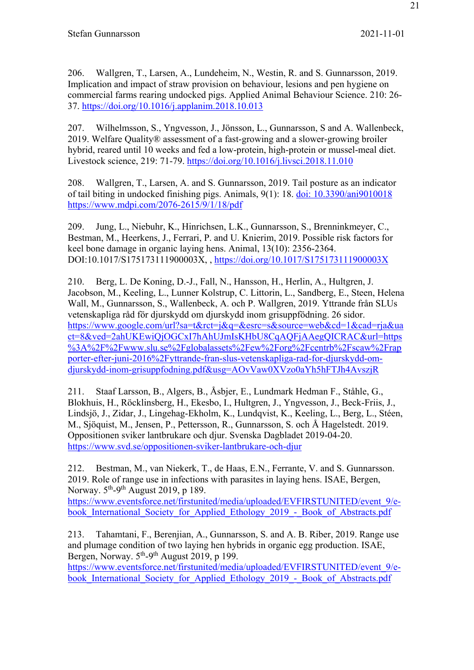206. Wallgren, T., Larsen, A., Lundeheim, N., Westin, R. and S. Gunnarsson, 2019. Implication and impact of straw provision on behaviour, lesions and pen hygiene on commercial farms rearing undocked pigs. Applied Animal Behaviour Science. 210: 26- 37. https://doi.org/10.1016/j.applanim.2018.10.013

207. Wilhelmsson, S., Yngvesson, J., Jönsson, L., Gunnarsson, S and A. Wallenbeck, 2019. Welfare Quality® assessment of a fast-growing and a slower-growing broiler hybrid, reared until 10 weeks and fed a low-protein, high-protein or mussel-meal diet. Livestock science, 219: 71-79. https://doi.org/10.1016/j.livsci.2018.11.010

208. Wallgren, T., Larsen, A. and S. Gunnarsson, 2019. Tail posture as an indicator of tail biting in undocked finishing pigs. Animals, 9(1): 18. doi: 10.3390/ani9010018 https://www.mdpi.com/2076-2615/9/1/18/pdf

209. Jung, L., Niebuhr, K., Hinrichsen, L.K., Gunnarsson, S., Brenninkmeyer, C., Bestman, M., Heerkens, J., Ferrari, P. and U. Knierim, 2019. Possible risk factors for keel bone damage in organic laying hens. Animal, 13(10): 2356-2364. DOI:10.1017/S175173111900003X, , https://doi.org/10.1017/S175173111900003X

210. Berg, L. De Koning, D.-J., Fall, N., Hansson, H., Herlin, A., Hultgren, J. Jacobson, M., Keeling, L., Lunner Kolstrup, C. Littorin, L., Sandberg, E., Steen, Helena Wall, M., Gunnarsson, S., Wallenbeck, A. och P. Wallgren, 2019. Yttrande från SLUs vetenskapliga råd för djurskydd om djurskydd inom grisuppfödning. 26 sidor. https://www.google.com/url?sa=t&rct=j&q=&esrc=s&source=web&cd=1&cad=rja&ua ct=8&ved=2ahUKEwiQjOGCxI7hAhUJmIsKHbU8CqAQFjAAegQICRAC&url=https %3A%2F%2Fwww.slu.se%2Fglobalassets%2Few%2Forg%2Fcentrb%2Fscaw%2Frap porter-efter-juni-2016%2Fyttrande-fran-slus-vetenskapliga-rad-for-djurskydd-omdjurskydd-inom-grisuppfodning.pdf&usg=AOvVaw0XVzo0aYh5hFTJh4AvszjR

211. Staaf Larsson, B., Algers, B., Åsbjer, E., Lundmark Hedman F., Ståhle, G., Blokhuis, H., Röcklinsberg, H., Ekesbo, I., Hultgren, J., Yngvesson, J., Beck-Friis, J., Lindsjö, J., Zidar, J., Lingehag-Ekholm, K., Lundqvist, K., Keeling, L., Berg, L., Stéen, M., Sjöquist, M., Jensen, P., Pettersson, R., Gunnarsson, S. och Å Hagelstedt. 2019. Oppositionen sviker lantbrukare och djur. Svenska Dagbladet 2019-04-20. https://www.svd.se/oppositionen-sviker-lantbrukare-och-djur

212. Bestman, M., van Niekerk, T., de Haas, E.N., Ferrante, V. and S. Gunnarsson. 2019. Role of range use in infections with parasites in laying hens. ISAE, Bergen, Norway.  $5<sup>th</sup>$ -9<sup>th</sup> August 2019, p 189.

https://www.eventsforce.net/firstunited/media/uploaded/EVFIRSTUNITED/event\_9/ebook International Society for Applied Ethology 2019 - Book of Abstracts.pdf

213. Tahamtani, F., Berenjian, A., Gunnarsson, S. and A. B. Riber, 2019. Range use and plumage condition of two laying hen hybrids in organic egg production. ISAE, Bergen, Norway.  $5<sup>th</sup>$ -9<sup>th</sup> August 2019, p 199.

https://www.eventsforce.net/firstunited/media/uploaded/EVFIRSTUNITED/event\_9/ebook International Society for Applied Ethology 2019 - Book of Abstracts.pdf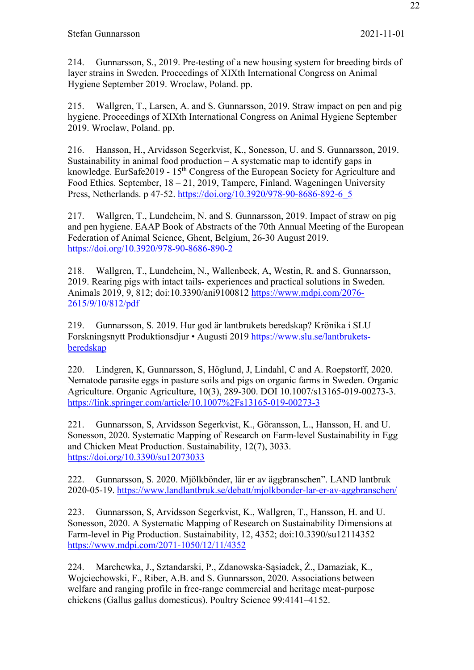214. Gunnarsson, S., 2019. Pre-testing of a new housing system for breeding birds of layer strains in Sweden. Proceedings of XIXth International Congress on Animal Hygiene September 2019. Wroclaw, Poland. pp.

215. Wallgren, T., Larsen, A. and S. Gunnarsson, 2019. Straw impact on pen and pig hygiene. Proceedings of XIXth International Congress on Animal Hygiene September 2019. Wroclaw, Poland. pp.

216. Hansson, H., Arvidsson Segerkvist, K., Sonesson, U. and S. Gunnarsson, 2019. Sustainability in animal food production  $- A$  systematic map to identify gaps in knowledge. EurSafe2019 -  $15<sup>th</sup>$  Congress of the European Society for Agriculture and Food Ethics. September, 18 – 21, 2019, Tampere, Finland. Wageningen University Press, Netherlands. p 47-52. https://doi.org/10.3920/978-90-8686-892-6\_5

217. Wallgren, T., Lundeheim, N. and S. Gunnarsson, 2019. Impact of straw on pig and pen hygiene. EAAP Book of Abstracts of the 70th Annual Meeting of the European Federation of Animal Science, Ghent, Belgium, 26-30 August 2019. https://doi.org/10.3920/978-90-8686-890-2

218. Wallgren, T., Lundeheim, N., Wallenbeck, A, Westin, R. and S. Gunnarsson, 2019. Rearing pigs with intact tails- experiences and practical solutions in Sweden. Animals 2019, 9, 812; doi:10.3390/ani9100812 https://www.mdpi.com/2076- 2615/9/10/812/pdf

219. Gunnarsson, S. 2019. Hur god är lantbrukets beredskap? Krönika i SLU Forskningsnytt Produktionsdjur • Augusti 2019 https://www.slu.se/lantbruketsberedskap

220. Lindgren, K, Gunnarsson, S, Höglund, J, Lindahl, C and A. Roepstorff, 2020. Nematode parasite eggs in pasture soils and pigs on organic farms in Sweden. Organic Agriculture. Organic Agriculture, 10(3), 289-300. DOI 10.1007/s13165-019-00273-3. https://link.springer.com/article/10.1007%2Fs13165-019-00273-3

221. Gunnarsson, S, Arvidsson Segerkvist, K., Göransson, L., Hansson, H. and U. Sonesson, 2020. Systematic Mapping of Research on Farm-level Sustainability in Egg and Chicken Meat Production. Sustainability, 12(7), 3033. https://doi.org/10.3390/su12073033

222. Gunnarsson, S. 2020. Mjölkbönder, lär er av äggbranschen". LAND lantbruk 2020-05-19. https://www.landlantbruk.se/debatt/mjolkbonder-lar-er-av-aggbranschen/

223. Gunnarsson, S, Arvidsson Segerkvist, K., Wallgren, T., Hansson, H. and U. Sonesson, 2020. A Systematic Mapping of Research on Sustainability Dimensions at Farm-level in Pig Production. Sustainability, 12, 4352; doi:10.3390/su12114352 https://www.mdpi.com/2071-1050/12/11/4352

224. Marchewka, J., Sztandarski, P., Zdanowska-Sąsiadek, Ż., Damaziak, K., Wojciechowski, F., Riber, A.B. and S. Gunnarsson, 2020. Associations between welfare and ranging profile in free-range commercial and heritage meat-purpose chickens (Gallus gallus domesticus). Poultry Science 99:4141–4152.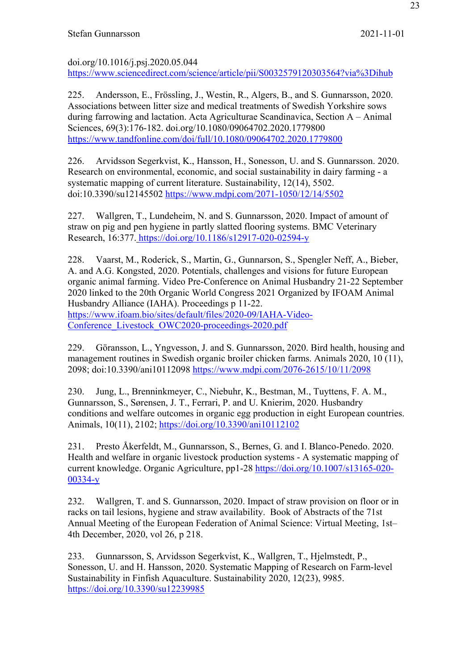doi.org/10.1016/j.psj.2020.05.044 https://www.sciencedirect.com/science/article/pii/S0032579120303564?via%3Dihub

225. Andersson, E., Frössling, J., Westin, R., Algers, B., and S. Gunnarsson, 2020. Associations between litter size and medical treatments of Swedish Yorkshire sows during farrowing and lactation. Acta Agriculturae Scandinavica, Section A – Animal Sciences, 69(3):176-182. doi.org/10.1080/09064702.2020.1779800 https://www.tandfonline.com/doi/full/10.1080/09064702.2020.1779800

226. Arvidsson Segerkvist, K., Hansson, H., Sonesson, U. and S. Gunnarsson. 2020. Research on environmental, economic, and social sustainability in dairy farming - a systematic mapping of current literature. Sustainability, 12(14), 5502. doi:10.3390/su12145502 https://www.mdpi.com/2071-1050/12/14/5502

227. Wallgren, T., Lundeheim, N. and S. Gunnarsson, 2020. Impact of amount of straw on pig and pen hygiene in partly slatted flooring systems. BMC Veterinary Research, 16:377. https://doi.org/10.1186/s12917-020-02594-y

228. Vaarst, M., Roderick, S., Martin, G., Gunnarson, S., Spengler Neff, A., Bieber, A. and A.G. Kongsted, 2020. Potentials, challenges and visions for future European organic animal farming. Video Pre-Conference on Animal Husbandry 21-22 September 2020 linked to the 20th Organic World Congress 2021 Organized by IFOAM Animal Husbandry Alliance (IAHA). Proceedings p 11-22. https://www.ifoam.bio/sites/default/files/2020-09/IAHA-Video-Conference Livestock OWC2020-proceedings-2020.pdf

229. Göransson, L., Yngvesson, J. and S. Gunnarsson, 2020. Bird health, housing and management routines in Swedish organic broiler chicken farms. Animals 2020, 10 (11), 2098; doi:10.3390/ani10112098 https://www.mdpi.com/2076-2615/10/11/2098

230. Jung, L., Brenninkmeyer, C., Niebuhr, K., Bestman, M., Tuyttens, F. A. M., Gunnarsson, S., Sørensen, J. T., Ferrari, P. and U. Knierim, 2020. Husbandry conditions and welfare outcomes in organic egg production in eight European countries. Animals, 10(11), 2102; https://doi.org/10.3390/ani10112102

231. Presto Åkerfeldt, M., Gunnarsson, S., Bernes, G. and I. Blanco-Penedo. 2020. Health and welfare in organic livestock production systems - A systematic mapping of current knowledge. Organic Agriculture, pp1-28 https://doi.org/10.1007/s13165-020- 00334-y

232. Wallgren, T. and S. Gunnarsson, 2020. Impact of straw provision on floor or in racks on tail lesions, hygiene and straw availability. Book of Abstracts of the 71st Annual Meeting of the European Federation of Animal Science: Virtual Meeting, 1st– 4th December, 2020, vol 26, p 218.

233. Gunnarsson, S, Arvidsson Segerkvist, K., Wallgren, T., Hjelmstedt, P., Sonesson, U. and H. Hansson, 2020. Systematic Mapping of Research on Farm-level Sustainability in Finfish Aquaculture. Sustainability 2020, 12(23), 9985. https://doi.org/10.3390/su12239985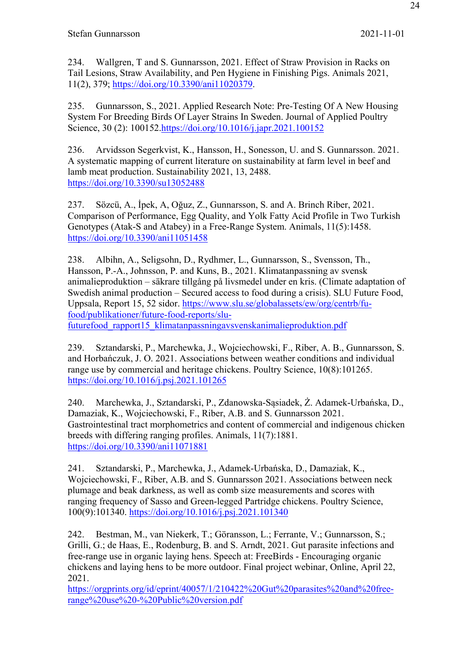234. Wallgren, T and S. Gunnarsson, 2021. Effect of Straw Provision in Racks on Tail Lesions, Straw Availability, and Pen Hygiene in Finishing Pigs. Animals 2021, 11(2), 379; https://doi.org/10.3390/ani11020379.

235. Gunnarsson, S., 2021. Applied Research Note: Pre-Testing Of A New Housing System For Breeding Birds Of Layer Strains In Sweden. Journal of Applied Poultry Science, 30 (2): 100152.https://doi.org/10.1016/j.japr.2021.100152

236. Arvidsson Segerkvist, K., Hansson, H., Sonesson, U. and S. Gunnarsson. 2021. A systematic mapping of current literature on sustainability at farm level in beef and lamb meat production. Sustainability 2021, 13, 2488. https://doi.org/10.3390/su13052488

237. Sözcü, A., İpek, A, Oğuz, Z., Gunnarsson, S. and A. Brinch Riber, 2021. Comparison of Performance, Egg Quality, and Yolk Fatty Acid Profile in Two Turkish Genotypes (Atak-S and Atabey) in a Free-Range System. Animals, 11(5):1458. https://doi.org/10.3390/ani11051458

238. Albihn, A., Seligsohn, D., Rydhmer, L., Gunnarsson, S., Svensson, Th., Hansson, P.-A., Johnsson, P. and Kuns, B., 2021. Klimatanpassning av svensk animalieproduktion – säkrare tillgång på livsmedel under en kris. (Climate adaptation of Swedish animal production – Secured access to food during a crisis). SLU Future Food, Uppsala, Report 15, 52 sidor. https://www.slu.se/globalassets/ew/org/centrb/fufood/publikationer/future-food-reports/slufuturefood rapport15 klimatanpassningavsvenskanimalieproduktion.pdf

239. Sztandarski, P., Marchewka, J., Wojciechowski, F., Riber, A. B., Gunnarsson, S. and Horbańczuk, J. O. 2021. Associations between weather conditions and individual range use by commercial and heritage chickens. Poultry Science, 10(8):101265. https://doi.org/10.1016/j.psj.2021.101265

240. Marchewka, J., Sztandarski, P., Zdanowska-Sąsiadek, Ż. Adamek-Urbańska, D., Damaziak, K., Wojciechowski, F., Riber, A.B. and S. Gunnarsson 2021. Gastrointestinal tract morphometrics and content of commercial and indigenous chicken breeds with differing ranging profiles. Animals, 11(7):1881. https://doi.org/10.3390/ani11071881

241. Sztandarski, P., Marchewka, J., Adamek-Urbańska, D., Damaziak, K., Wojciechowski, F., Riber, A.B. and S. Gunnarsson 2021. Associations between neck plumage and beak darkness, as well as comb size measurements and scores with ranging frequency of Sasso and Green-legged Partridge chickens. Poultry Science, 100(9):101340. https://doi.org/10.1016/j.psj.2021.101340

242. Bestman, M., van Niekerk, T.; Göransson, L.; Ferrante, V.; Gunnarsson, S.; Grilli, G.; de Haas, E., Rodenburg, B. and S. Arndt, 2021. Gut parasite infections and free-range use in organic laying hens. Speech at: FreeBirds ‐ Encouraging organic chickens and laying hens to be more outdoor. Final project webinar, Online, April 22, 2021.

https://orgprints.org/id/eprint/40057/1/210422%20Gut%20parasites%20and%20freerange%20use%20-%20Public%20version.pdf